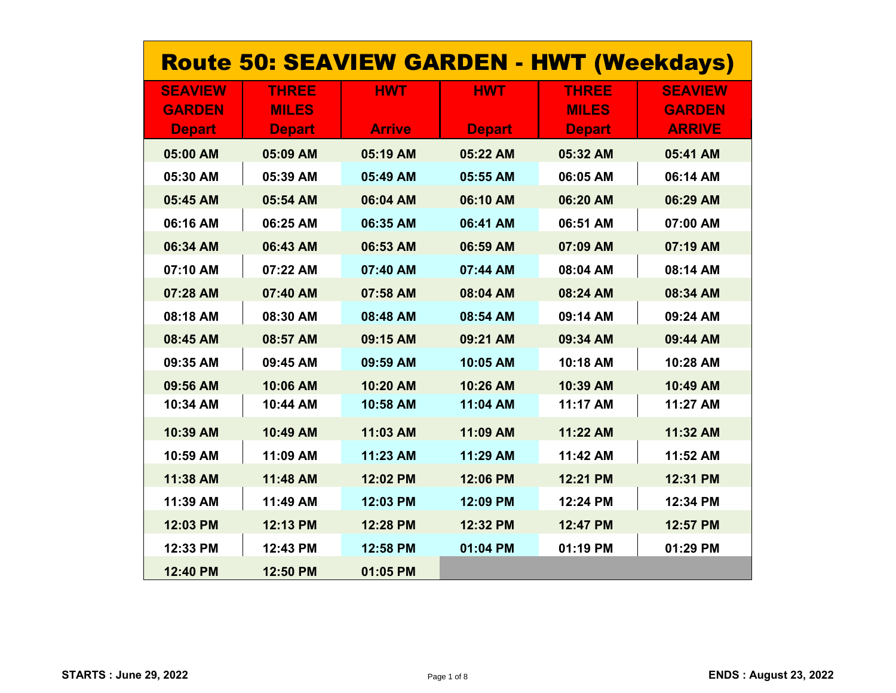| <b>Route 50: SEAVIEW GARDEN - HWT (Weekdays)</b> |               |               |               |               |                |  |
|--------------------------------------------------|---------------|---------------|---------------|---------------|----------------|--|
| <b>SEAVIEW</b>                                   | <b>THREE</b>  | <b>HWT</b>    | <b>HWT</b>    | <b>THREE</b>  | <b>SEAVIEW</b> |  |
| <b>GARDEN</b>                                    | <b>MILES</b>  |               |               | <b>MILES</b>  | <b>GARDEN</b>  |  |
| <b>Depart</b>                                    | <b>Depart</b> | <b>Arrive</b> | <b>Depart</b> | <b>Depart</b> | <b>ARRIVE</b>  |  |
| 05:00 AM                                         | 05:09 AM      | 05:19 AM      | 05:22 AM      | 05:32 AM      | 05:41 AM       |  |
| 05:30 AM                                         | 05:39 AM      | 05:49 AM      | 05:55 AM      | 06:05 AM      | 06:14 AM       |  |
| 05:45 AM                                         | 05:54 AM      | 06:04 AM      | 06:10 AM      | 06:20 AM      | 06:29 AM       |  |
| 06:16 AM                                         | 06:25 AM      | 06:35 AM      | 06:41 AM      | 06:51 AM      | 07:00 AM       |  |
| 06:34 AM                                         | 06:43 AM      | 06:53 AM      | 06:59 AM      | 07:09 AM      | 07:19 AM       |  |
| 07:10 AM                                         | 07:22 AM      | 07:40 AM      | 07:44 AM      | 08:04 AM      | 08:14 AM       |  |
| 07:28 AM                                         | 07:40 AM      | 07:58 AM      | 08:04 AM      | 08:24 AM      | 08:34 AM       |  |
| 08:18 AM                                         | 08:30 AM      | 08:48 AM      | 08:54 AM      | 09:14 AM      | 09:24 AM       |  |
| 08:45 AM                                         | 08:57 AM      | 09:15 AM      | 09:21 AM      | 09:34 AM      | 09:44 AM       |  |
| 09:35 AM                                         | 09:45 AM      | 09:59 AM      | 10:05 AM      | 10:18 AM      | 10:28 AM       |  |
| 09:56 AM                                         | 10:06 AM      | 10:20 AM      | 10:26 AM      | 10:39 AM      | 10:49 AM       |  |
| 10:34 AM                                         | 10:44 AM      | 10:58 AM      | 11:04 AM      | 11:17 AM      | 11:27 AM       |  |
| 10:39 AM                                         | 10:49 AM      | 11:03 AM      | 11:09 AM      | 11:22 AM      | 11:32 AM       |  |
| 10:59 AM                                         | 11:09 AM      | 11:23 AM      | 11:29 AM      | 11:42 AM      | 11:52 AM       |  |
| 11:38 AM                                         | 11:48 AM      | 12:02 PM      | 12:06 PM      | 12:21 PM      | 12:31 PM       |  |
| 11:39 AM                                         | 11:49 AM      | 12:03 PM      | 12:09 PM      | 12:24 PM      | 12:34 PM       |  |
| 12:03 PM                                         | 12:13 PM      | 12:28 PM      | 12:32 PM      | 12:47 PM      | 12:57 PM       |  |
| 12:33 PM                                         | 12:43 PM      | 12:58 PM      | 01:04 PM      | 01:19 PM      | 01:29 PM       |  |
| 12:40 PM                                         | 12:50 PM      | 01:05 PM      |               |               |                |  |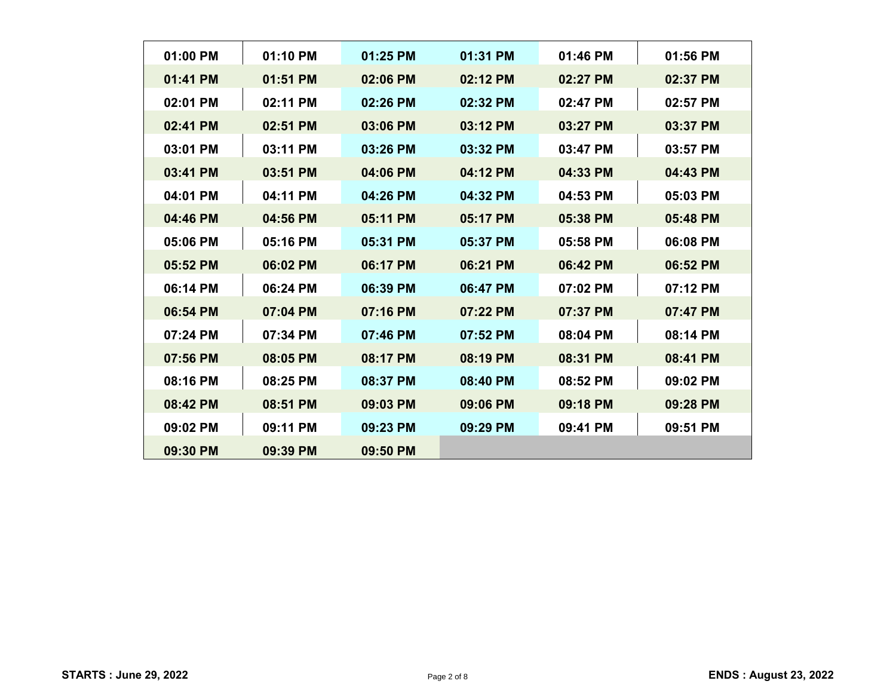| 01:00 PM | $01:10$ PM | $01:25$ PM | 01:31 PM | $01:46$ PM | 01:56 PM |
|----------|------------|------------|----------|------------|----------|
| 01:41 PM | 01:51 PM   | 02:06 PM   | 02:12 PM | 02:27 PM   | 02:37 PM |
| 02:01 PM | 02:11 PM   | 02:26 PM   | 02:32 PM | 02:47 PM   | 02:57 PM |
| 02:41 PM | 02:51 PM   | 03:06 PM   | 03:12 PM | 03:27 PM   | 03:37 PM |
| 03:01 PM | 03:11 PM   | 03:26 PM   | 03:32 PM | 03:47 PM   | 03:57 PM |
| 03:41 PM | 03:51 PM   | 04:06 PM   | 04:12 PM | 04:33 PM   | 04:43 PM |
| 04:01 PM | 04:11 PM   | 04:26 PM   | 04:32 PM | 04:53 PM   | 05:03 PM |
| 04:46 PM | 04:56 PM   | 05:11 PM   | 05:17 PM | 05:38 PM   | 05:48 PM |
| 05:06 PM | 05:16 PM   | 05:31 PM   | 05:37 PM | 05:58 PM   | 06:08 PM |
| 05:52 PM | 06:02 PM   | 06:17 PM   | 06:21 PM | 06:42 PM   | 06:52 PM |
| 06:14 PM | 06:24 PM   | 06:39 PM   | 06:47 PM | $07:02$ PM | 07:12 PM |
| 06:54 PM | 07:04 PM   | 07:16 PM   | 07:22 PM | 07:37 PM   | 07:47 PM |
| 07:24 PM | 07:34 PM   | 07:46 PM   | 07:52 PM | 08:04 PM   | 08:14 PM |
| 07:56 PM | 08:05 PM   | 08:17 PM   | 08:19 PM | 08:31 PM   | 08:41 PM |
| 08:16 PM | 08:25 PM   | 08:37 PM   | 08:40 PM | 08:52 PM   | 09:02 PM |
| 08:42 PM | 08:51 PM   | 09:03 PM   | 09:06 PM | 09:18 PM   | 09:28 PM |
| 09:02 PM | 09:11 PM   | 09:23 PM   | 09:29 PM | 09:41 PM   | 09:51 PM |
| 09:30 PM | 09:39 PM   | $09:50$ PM |          |            |          |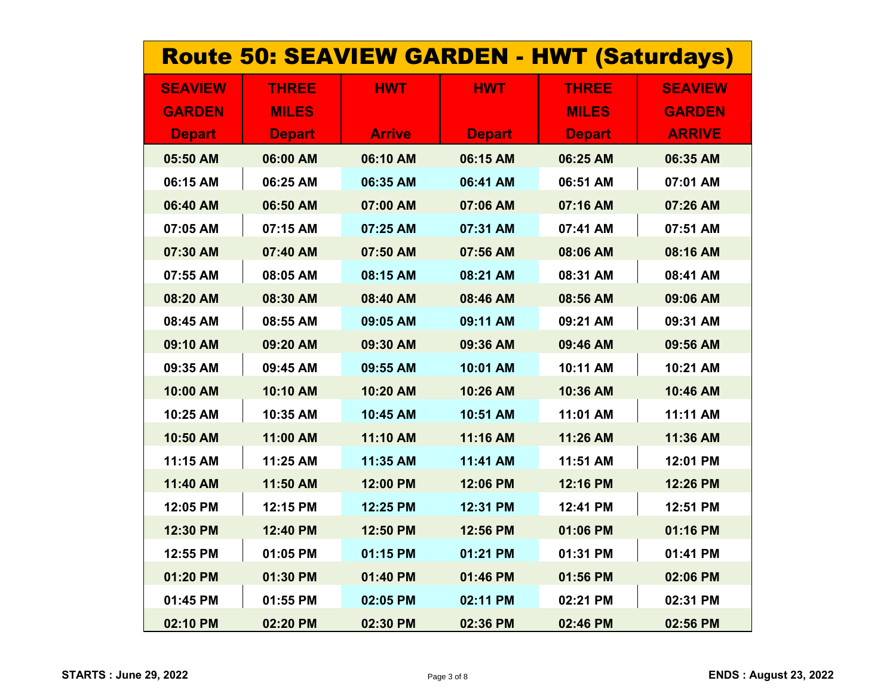| <b>Route 50: SEAVIEW GARDEN - HWT (Saturdays)</b> |               |               |               |               |                |  |
|---------------------------------------------------|---------------|---------------|---------------|---------------|----------------|--|
| <b>SEAVIEW</b>                                    | <b>THREE</b>  | <b>HWT</b>    | <b>HWT</b>    | <b>THREE</b>  | <b>SEAVIEW</b> |  |
| <b>GARDEN</b>                                     | <b>MILES</b>  |               |               | <b>MILES</b>  | <b>GARDEN</b>  |  |
| <b>Depart</b>                                     | <b>Depart</b> | <b>Arrive</b> | <b>Depart</b> | <b>Depart</b> | <b>ARRIVE</b>  |  |
| 05:50 AM                                          | 06:00 AM      | 06:10 AM      | 06:15 AM      | 06:25 AM      | 06:35 AM       |  |
| 06:15 AM                                          | 06:25 AM      | 06:35 AM      | 06:41 AM      | 06:51 AM      | 07:01 AM       |  |
| 06:40 AM                                          | 06:50 AM      | 07:00 AM      | 07:06 AM      | 07:16 AM      | 07:26 AM       |  |
| 07:05 AM                                          | 07:15 AM      | 07:25 AM      | 07:31 AM      | 07:41 AM      | 07:51 AM       |  |
| 07:30 AM                                          | 07:40 AM      | 07:50 AM      | 07:56 AM      | 08:06 AM      | 08:16 AM       |  |
| 07:55 AM                                          | 08:05 AM      | 08:15 AM      | 08:21 AM      | 08:31 AM      | 08:41 AM       |  |
| 08:20 AM                                          | 08:30 AM      | 08:40 AM      | 08:46 AM      | 08:56 AM      | 09:06 AM       |  |
| 08:45 AM                                          | 08:55 AM      | 09:05 AM      | 09:11 AM      | 09:21 AM      | 09:31 AM       |  |
| 09:10 AM                                          | 09:20 AM      | 09:30 AM      | 09:36 AM      | 09:46 AM      | 09:56 AM       |  |
| 09:35 AM                                          | 09:45 AM      | 09:55 AM      | 10:01 AM      | 10:11 AM      | 10:21 AM       |  |
| 10:00 AM                                          | 10:10 AM      | 10:20 AM      | 10:26 AM      | 10:36 AM      | 10:46 AM       |  |
| 10:25 AM                                          | 10:35 AM      | 10:45 AM      | 10:51 AM      | 11:01 AM      | 11:11 AM       |  |
| 10:50 AM                                          | 11:00 AM      | 11:10 AM      | 11:16 AM      | 11:26 AM      | 11:36 AM       |  |
| 11:15 AM                                          | 11:25 AM      | 11:35 AM      | 11:41 AM      | 11:51 AM      | 12:01 PM       |  |
| 11:40 AM                                          | 11:50 AM      | 12:00 PM      | 12:06 PM      | 12:16 PM      | 12:26 PM       |  |
| 12:05 PM                                          | 12:15 PM      | 12:25 PM      | 12:31 PM      | 12:41 PM      | 12:51 PM       |  |
| 12:30 PM                                          | 12:40 PM      | 12:50 PM      | 12:56 PM      | 01:06 PM      | 01:16 PM       |  |
| 12:55 PM                                          | 01:05 PM      | 01:15 PM      | 01:21 PM      | 01:31 PM      | 01:41 PM       |  |
| 01:20 PM                                          | 01:30 PM      | 01:40 PM      | 01:46 PM      | 01:56 PM      | 02:06 PM       |  |
| 01:45 PM                                          | 01:55 PM      | 02:05 PM      | 02:11 PM      | 02:21 PM      | 02:31 PM       |  |
| 02:10 PM                                          | 02:20 PM      | 02:30 PM      | 02:36 PM      | 02:46 PM      | 02:56 PM       |  |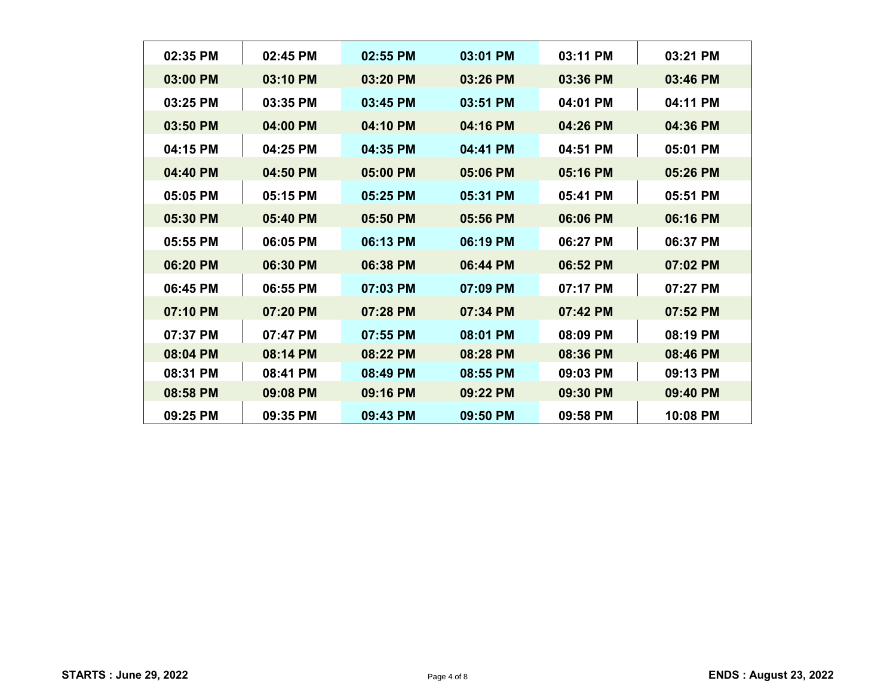| 02:35 PM<br>03:01 PM<br>02:45 PM<br>02:55 PM<br>03:00 PM<br>03:10 PM<br>03:26 PM<br>03:20 PM<br>03:25 PM<br>03:35 PM<br>03:45 PM<br>03:51 PM |                      |  |
|----------------------------------------------------------------------------------------------------------------------------------------------|----------------------|--|
|                                                                                                                                              | 03:11 PM<br>03:21 PM |  |
|                                                                                                                                              | 03:36 PM<br>03:46 PM |  |
|                                                                                                                                              | 04:01 PM<br>04:11 PM |  |
| 03:50 PM<br>04:00 PM<br>04:10 PM<br>04:16 PM                                                                                                 | 04:26 PM<br>04:36 PM |  |
| 04:15 PM<br>04:25 PM<br>04:35 PM<br>04:41 PM                                                                                                 | 04:51 PM<br>05:01 PM |  |
| 04:40 PM<br>04:50 PM<br>05:00 PM<br>05:06 PM                                                                                                 | 05:16 PM<br>05:26 PM |  |
| 05:05 PM<br>05:15 PM<br>05:31 PM<br>05:25 PM                                                                                                 | 05:41 PM<br>05:51 PM |  |
| 05:56 PM<br>05:30 PM<br>05:40 PM<br>05:50 PM                                                                                                 | 06:06 PM<br>06:16 PM |  |
| 05:55 PM<br>06:05 PM<br>06:13 PM<br>06:19 PM                                                                                                 | 06:27 PM<br>06:37 PM |  |
| 06:20 PM<br>06:30 PM<br>06:38 PM<br>06:44 PM                                                                                                 | 06:52 PM<br>07:02 PM |  |
| 06:45 PM<br>06:55 PM<br>07:03 PM<br>07:09 PM                                                                                                 | 07:17 PM<br>07:27 PM |  |
| 07:10 PM<br>07:20 PM<br>07:28 PM<br>07:34 PM                                                                                                 | 07:42 PM<br>07:52 PM |  |
| 07:37 PM<br>07:47 PM<br>07:55 PM<br>08:01 PM                                                                                                 | 08:09 PM<br>08:19 PM |  |
| 08:04 PM<br>08:14 PM<br>08:22 PM<br>08:28 PM                                                                                                 | 08:36 PM<br>08:46 PM |  |
| 08:31 PM<br>08:41 PM<br>08:49 PM<br>08:55 PM                                                                                                 | 09:03 PM<br>09:13 PM |  |
| 08:58 PM<br>09:08 PM<br>09:16 PM<br>09:22 PM                                                                                                 | 09:30 PM<br>09:40 PM |  |
| 09:25 PM<br>09:35 PM<br>09:43 PM<br>09:50 PM                                                                                                 | 09:58 PM<br>10:08 PM |  |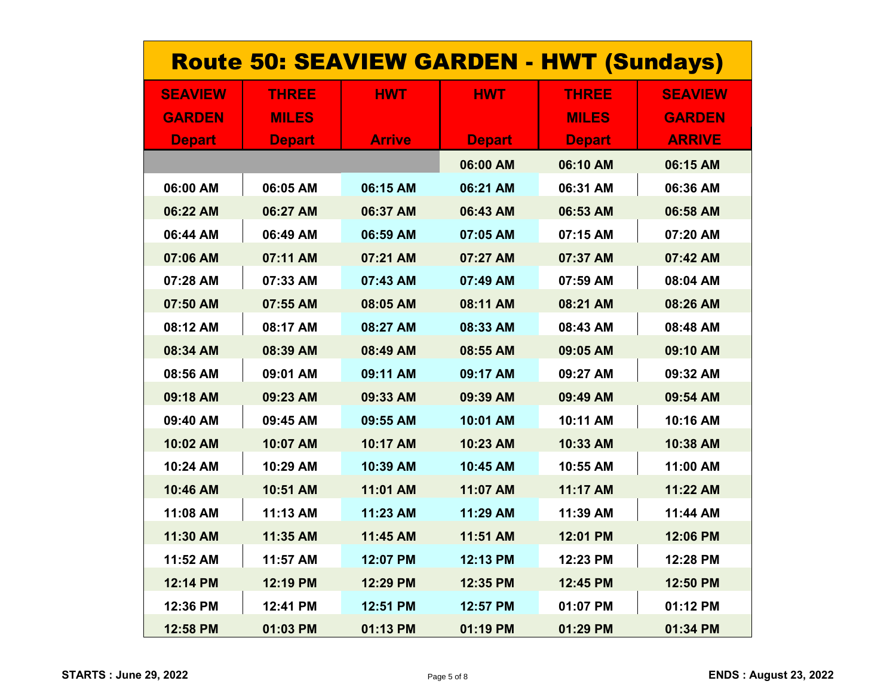| <b>Route 50: SEAVIEW GARDEN - HWT (Sundays)</b> |               |               |               |               |                |  |
|-------------------------------------------------|---------------|---------------|---------------|---------------|----------------|--|
| <b>SEAVIEW</b>                                  | <b>THREE</b>  | <b>HWT</b>    | <b>HWT</b>    | <b>THREE</b>  | <b>SEAVIEW</b> |  |
| <b>GARDEN</b>                                   | <b>MILES</b>  |               |               | <b>MILES</b>  | <b>GARDEN</b>  |  |
| <b>Depart</b>                                   | <b>Depart</b> | <b>Arrive</b> | <b>Depart</b> | <b>Depart</b> | <b>ARRIVE</b>  |  |
|                                                 |               |               | 06:00 AM      | 06:10 AM      | 06:15 AM       |  |
| 06:00 AM                                        | 06:05 AM      | 06:15 AM      | 06:21 AM      | 06:31 AM      | 06:36 AM       |  |
| 06:22 AM                                        | 06:27 AM      | 06:37 AM      | 06:43 AM      | 06:53 AM      | 06:58 AM       |  |
| 06:44 AM                                        | 06:49 AM      | 06:59 AM      | 07:05 AM      | 07:15 AM      | 07:20 AM       |  |
| 07:06 AM                                        | 07:11 AM      | 07:21 AM      | 07:27 AM      | 07:37 AM      | 07:42 AM       |  |
| 07:28 AM                                        | 07:33 AM      | 07:43 AM      | 07:49 AM      | 07:59 AM      | 08:04 AM       |  |
| 07:50 AM                                        | 07:55 AM      | 08:05 AM      | 08:11 AM      | 08:21 AM      | 08:26 AM       |  |
| 08:12 AM                                        | 08:17 AM      | 08:27 AM      | 08:33 AM      | 08:43 AM      | 08:48 AM       |  |
| 08:34 AM                                        | 08:39 AM      | 08:49 AM      | 08:55 AM      | 09:05 AM      | 09:10 AM       |  |
| 08:56 AM                                        | 09:01 AM      | 09:11 AM      | 09:17 AM      | 09:27 AM      | 09:32 AM       |  |
| 09:18 AM                                        | 09:23 AM      | 09:33 AM      | 09:39 AM      | 09:49 AM      | 09:54 AM       |  |
| 09:40 AM                                        | 09:45 AM      | 09:55 AM      | 10:01 AM      | 10:11 AM      | 10:16 AM       |  |
| 10:02 AM                                        | 10:07 AM      | 10:17 AM      | 10:23 AM      | 10:33 AM      | 10:38 AM       |  |
| 10:24 AM                                        | 10:29 AM      | 10:39 AM      | 10:45 AM      | 10:55 AM      | 11:00 AM       |  |
| 10:46 AM                                        | 10:51 AM      | 11:01 AM      | 11:07 AM      | 11:17 AM      | 11:22 AM       |  |
| 11:08 AM                                        | 11:13 AM      | 11:23 AM      | 11:29 AM      | 11:39 AM      | 11:44 AM       |  |
| 11:30 AM                                        | 11:35 AM      | 11:45 AM      | 11:51 AM      | 12:01 PM      | 12:06 PM       |  |
| 11:52 AM                                        | 11:57 AM      | 12:07 PM      | 12:13 PM      | 12:23 PM      | 12:28 PM       |  |
| 12:14 PM                                        | 12:19 PM      | 12:29 PM      | 12:35 PM      | 12:45 PM      | 12:50 PM       |  |
| 12:36 PM                                        | 12:41 PM      | 12:51 PM      | 12:57 PM      | 01:07 PM      | 01:12 PM       |  |
| 12:58 PM                                        | 01:03 PM      | 01:13 PM      | 01:19 PM      | 01:29 PM      | 01:34 PM       |  |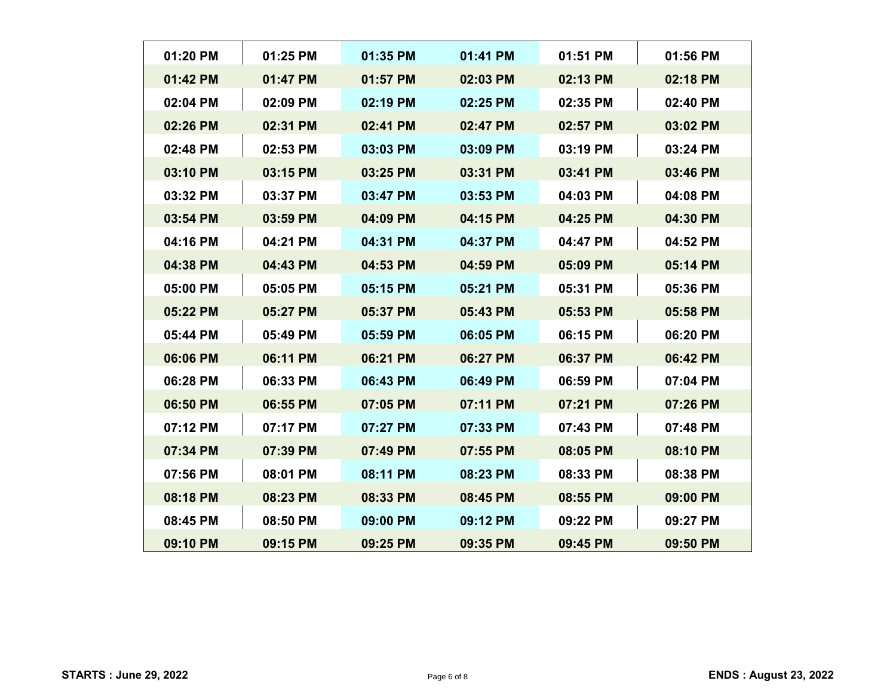| $01:20$ PM | 01:25 PM | 01:35 PM | 01:41 PM | 01:51 PM | 01:56 PM |
|------------|----------|----------|----------|----------|----------|
| 01:42 PM   | 01:47 PM | 01:57 PM | 02:03 PM | 02:13 PM | 02:18 PM |
| 02:04 PM   | 02:09 PM | 02:19 PM | 02:25 PM | 02:35 PM | 02:40 PM |
| 02:26 PM   | 02:31 PM | 02:41 PM | 02:47 PM | 02:57 PM | 03:02 PM |
| 02:48 PM   | 02:53 PM | 03:03 PM | 03:09 PM | 03:19 PM | 03:24 PM |
| 03:10 PM   | 03:15 PM | 03:25 PM | 03:31 PM | 03:41 PM | 03:46 PM |
| 03:32 PM   | 03:37 PM | 03:47 PM | 03:53 PM | 04:03 PM | 04:08 PM |
| 03:54 PM   | 03:59 PM | 04:09 PM | 04:15 PM | 04:25 PM | 04:30 PM |
| 04:16 PM   | 04:21 PM | 04:31 PM | 04:37 PM | 04:47 PM | 04:52 PM |
| 04:38 PM   | 04:43 PM | 04:53 PM | 04:59 PM | 05:09 PM | 05:14 PM |
| 05:00 PM   | 05:05 PM | 05:15 PM | 05:21 PM | 05:31 PM | 05:36 PM |
| 05:22 PM   | 05:27 PM | 05:37 PM | 05:43 PM | 05:53 PM | 05:58 PM |
| 05:44 PM   | 05:49 PM | 05:59 PM | 06:05 PM | 06:15 PM | 06:20 PM |
| 06:06 PM   | 06:11 PM | 06:21 PM | 06:27 PM | 06:37 PM | 06:42 PM |
| 06:28 PM   | 06:33 PM | 06:43 PM | 06:49 PM | 06:59 PM | 07:04 PM |
| 06:50 PM   | 06:55 PM | 07:05 PM | 07:11 PM | 07:21 PM | 07:26 PM |
| 07:12 PM   | 07:17 PM | 07:27 PM | 07:33 PM | 07:43 PM | 07:48 PM |
| 07:34 PM   | 07:39 PM | 07:49 PM | 07:55 PM | 08:05 PM | 08:10 PM |
| 07:56 PM   | 08:01 PM | 08:11 PM | 08:23 PM | 08:33 PM | 08:38 PM |
| 08:18 PM   | 08:23 PM | 08:33 PM | 08:45 PM | 08:55 PM | 09:00 PM |
| 08:45 PM   | 08:50 PM | 09:00 PM | 09:12 PM | 09:22 PM | 09:27 PM |
| 09:10 PM   | 09:15 PM | 09:25 PM | 09:35 PM | 09:45 PM | 09:50 PM |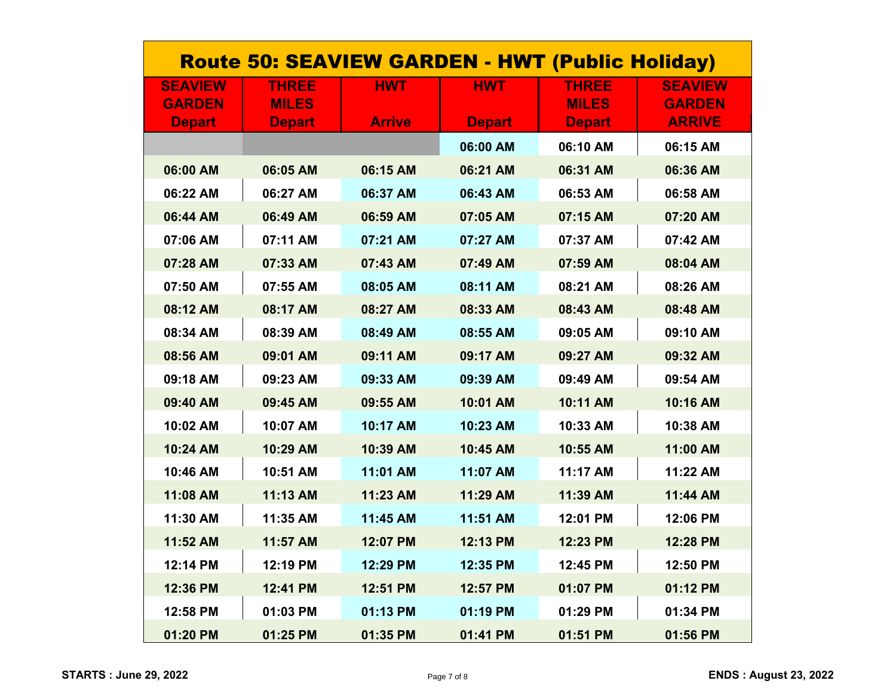| <b>Route 50: SEAVIEW GARDEN - HWT (Public Holiday)</b> |               |               |               |               |                |  |  |
|--------------------------------------------------------|---------------|---------------|---------------|---------------|----------------|--|--|
| <b>SEAVIEW</b>                                         | <b>THREE</b>  | <b>HWT</b>    | <b>HWT</b>    | <b>THREE</b>  | <b>SEAVIEW</b> |  |  |
| <b>GARDEN</b>                                          | <b>MILES</b>  |               |               | <b>MILES</b>  | <b>GARDEN</b>  |  |  |
| <b>Depart</b>                                          | <b>Depart</b> | <b>Arrive</b> | <b>Depart</b> | <b>Depart</b> | <b>ARRIVE</b>  |  |  |
|                                                        |               |               | 06:00 AM      | 06:10 AM      | 06:15 AM       |  |  |
| 06:00 AM                                               | 06:05 AM      | 06:15 AM      | 06:21 AM      | 06:31 AM      | 06:36 AM       |  |  |
| 06:22 AM                                               | 06:27 AM      | 06:37 AM      | 06:43 AM      | 06:53 AM      | 06:58 AM       |  |  |
| 06:44 AM                                               | 06:49 AM      | 06:59 AM      | 07:05 AM      | 07:15 AM      | 07:20 AM       |  |  |
| 07:06 AM                                               | 07:11 AM      | 07:21 AM      | 07:27 AM      | 07:37 AM      | 07:42 AM       |  |  |
| 07:28 AM                                               | 07:33 AM      | 07:43 AM      | 07:49 AM      | 07:59 AM      | 08:04 AM       |  |  |
| 07:50 AM                                               | 07:55 AM      | 08:05 AM      | 08:11 AM      | 08:21 AM      | 08:26 AM       |  |  |
| 08:12 AM                                               | 08:17 AM      | 08:27 AM      | 08:33 AM      | 08:43 AM      | 08:48 AM       |  |  |
| 08:34 AM                                               | 08:39 AM      | 08:49 AM      | 08:55 AM      | 09:05 AM      | 09:10 AM       |  |  |
| 08:56 AM                                               | 09:01 AM      | 09:11 AM      | 09:17 AM      | 09:27 AM      | 09:32 AM       |  |  |
| 09:18 AM                                               | 09:23 AM      | 09:33 AM      | 09:39 AM      | 09:49 AM      | 09:54 AM       |  |  |
| 09:40 AM                                               | 09:45 AM      | 09:55 AM      | 10:01 AM      | 10:11 AM      | 10:16 AM       |  |  |
| 10:02 AM                                               | 10:07 AM      | 10:17 AM      | 10:23 AM      | 10:33 AM      | 10:38 AM       |  |  |
| 10:24 AM                                               | 10:29 AM      | 10:39 AM      | 10:45 AM      | 10:55 AM      | 11:00 AM       |  |  |
| 10:46 AM                                               | 10:51 AM      | 11:01 AM      | 11:07 AM      | 11:17 AM      | 11:22 AM       |  |  |
| 11:08 AM                                               | 11:13 AM      | 11:23 AM      | 11:29 AM      | 11:39 AM      | 11:44 AM       |  |  |
| 11:30 AM                                               | 11:35 AM      | 11:45 AM      | 11:51 AM      | 12:01 PM      | 12:06 PM       |  |  |
| 11:52 AM                                               | 11:57 AM      | 12:07 PM      | 12:13 PM      | 12:23 PM      | 12:28 PM       |  |  |
| 12:14 PM                                               | 12:19 PM      | 12:29 PM      | 12:35 PM      | 12:45 PM      | 12:50 PM       |  |  |
| 12:36 PM                                               | 12:41 PM      | 12:51 PM      | 12:57 PM      | 01:07 PM      | 01:12 PM       |  |  |
| 12:58 PM                                               | 01:03 PM      | 01:13 PM      | 01:19 PM      | 01:29 PM      | 01:34 PM       |  |  |
| 01:20 PM                                               | 01:25 PM      | 01:35 PM      | 01:41 PM      | 01:51 PM      | 01:56 PM       |  |  |